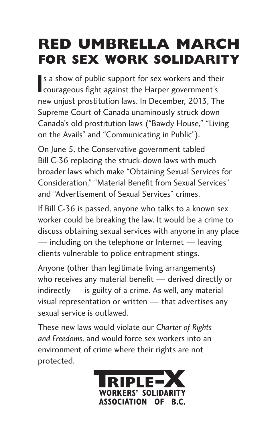## **Red Umbrella March for Sex Work Solidarity**

If a show of public support for sex workers and the courageous fight against the Harper government's s a show of public support for sex workers and their new unjust prostitution laws. In December, 2013, The Supreme Court of Canada unaminously struck down Canada's old prostitution laws ("Bawdy House," "Living on the Avails" and "Communicating in Public").

On June 5, the Conservative government tabled Bill C-36 replacing the struck-down laws with much broader laws which make "Obtaining Sexual Services for Consideration," "Material Benefit from Sexual Services" and "Advertisement of Sexual Services" crimes.

If Bill C-36 is passed, anyone who talks to a known sex worker could be breaking the law. It would be a crime to discuss obtaining sexual services with anyone in any place — including on the telephone or Internet — leaving clients vulnerable to police entrapment stings.

Anyone (other than legitimate living arrangements) who receives any material benefit — derived directly or indirectly  $-$  is guilty of a crime. As well, any material  $$ visual representation or written — that advertises any sexual service is outlawed.

These new laws would violate our *Charter of Rights and Freedoms*, and would force sex workers into an environment of crime where their rights are not protected.